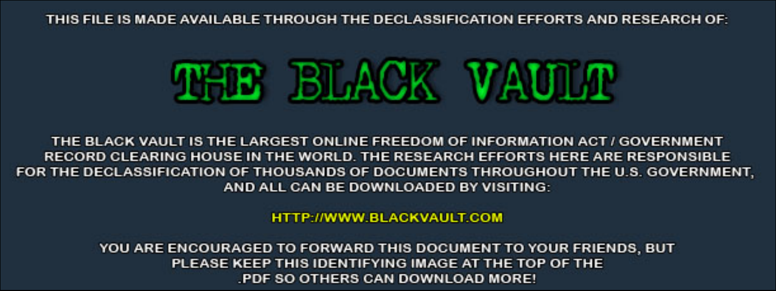THIS FILE IS MADE AVAILABLE THROUGH THE DECLASSIFICATION EFFORTS AND RESEARCH OF:



THE BLACK VAULT IS THE LARGEST ONLINE FREEDOM OF INFORMATION ACT / GOVERNMENT RECORD CLEARING HOUSE IN THE WORLD. THE RESEARCH EFFORTS HERE ARE RESPONSIBLE FOR THE DECLASSIFICATION OF THOUSANDS OF DOCUMENTS THROUGHOUT THE U.S. GOVERNMENT, AND ALL CAN BE DOWNLOADED BY VISITING:

**HTTP://WWW.BLACKVAULT.COM** 

YOU ARE ENCOURAGED TO FORWARD THIS DOCUMENT TO YOUR FRIENDS, BUT PLEASE KEEP THIS IDENTIFYING IMAGE AT THE TOP OF THE PDF SO OTHERS CAN DOWNLOAD MORE!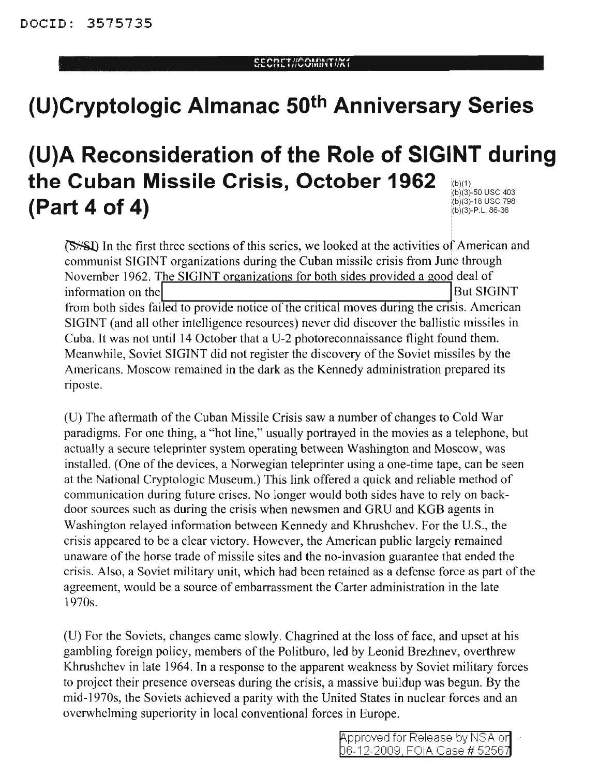# **(U)Cryptologic Almanac 50th Anniversary Series**

#### (b)(1) (b)(3)-50 usc 403 (b)(3)-18 usc 798 (b)(3)-P.L.86-36 **(U)A Reconsideration of the Role of SIGINT during the Cuban Missile Crisis, October 1962 (Part 4 of 4)**

**(S**<sup> $\frac{1}{2}$ </sup> In the first three sections of this series, we looked at the activities of American and communist SIGINT organizations during the Cuban missile crisis from June through November 1962. The SIGINT organizations for both sides provided a good deal of information on the **IBut SIGINT** from both sides failed to provide notice of the critical moves during the crisis. American SIGINT (and all other intelligence resources) never did discover the ballistic missiles in Cuba. It was not until 14 October that a U-2 photoreconnaissance flight found them. Meanwhile, Soviet SIGINT did not register the discovery of the Soviet missiles by the Americans. Moscow remained in the dark as the Kennedy administration prepared its riposte.

(U) The aftermath of the Cuban Missile Crisis saw a number of changes to Cold War paradigms. For one thing, a "hot line," usually portrayed in the movies as a telephone, but actually a secure teleprinter system operating between Washington and Moscow, was installed. (One of the devices, a Norwegian teleprinter using a one-time tape, can be seen at the National Cryptologic Museum.) This link offered a quick and reliable method of communication during future crises. No longer would both sides have to rely on backdoor sources such as during the crisis when newsmen and GRU and KGB agents in Washington relayed information between Kennedy and Khrushchev. For the U.S., the crisis appeared to be a clear victory. However, the American public largely remained unaware of the horse trade of missile sites and the no-invasion guarantee that ended the crisis. Also, a Soviet military unit, which had been retained as a defense force as part of the agreement, would be a source of embarrassment the Carter administration in the late 1970s.

(U) For the Soviets, changes came slowly. Chagrined at the loss of face, and upset at his gambling foreign policy, members of the Politburo, led by Leonid Brezhnev, overthrew Khrushchev in late 1964. In a response to the apparent weakness by Soviet military forces to project their presence overseas during the crisis, a massive buildup was begun. By the mid-1970s, the Soviets achieved a parity with the United States in nuclear forces and an overwhelming superiority in local conventional forces in Europe.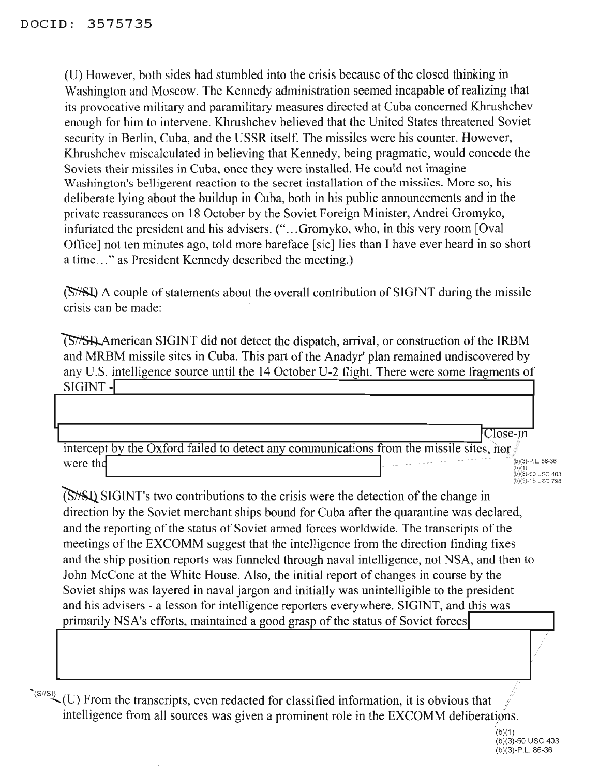(U) However, both sides had stumbled into the crisis because ofthe closed thinking in Washington and Moscow. The Kennedy administration seemed incapable of realizing that its provocative military and paramilitary measures directed at Cuba concerned Khrushchev enough for him to intervene. Khrushchev believed that the United States threatened Soviet security in Berlin, Cuba, and the USSR itself. The missiles were his counter. However, Khrushchev miscalculated in believing that Kennedy, being pragmatic, would concede the Soviets their missiles in Cuba, once they were installed. He could not imagine Washington's belligerent reaction to the secret installation of the missiles. More so, his deliberate lying about the buildup in Cuba, both in his public announcements and in the private reassurances on 18 October by the Soviet Foreign Minister, Andrei Gromyko, infuriated the president and his advisers. ("...Gromyko, who, in this very room [Oval] Office] not ten minutes ago, told more bareface [sic] lies than I have ever heard in so short a time..." as President Kennedy described the meeting.)

(S<sup>/S</sup>/S<sup>I</sup>) A couple of statements about the overall contribution of SIGINT during the missile crisis can be made:

~merican SIGINT did not detect the dispatch, arrival, or construction of the IRBM and MRBM missile sites in Cuba. This part of the Anadyr' plan remained undiscovered by any U.S. intelligence source until the 14 October U-2 flight. There were some fragments of SIGINT -I

|                                                                                         | Close-in                                                                                                                                                                                                                                             |
|-----------------------------------------------------------------------------------------|------------------------------------------------------------------------------------------------------------------------------------------------------------------------------------------------------------------------------------------------------|
| intercept by the Oxford failed to detect any communications from the missile sites, nor |                                                                                                                                                                                                                                                      |
| were the                                                                                | . The construction of the construction of the construction of the construction of the construction of the construction of the construction of the construction of the construction of the construction of the construction of<br>$(b)(3)-P.L. 86-36$ |
|                                                                                         | (b)(1)<br>(b)(3)-50 USC 403                                                                                                                                                                                                                          |
|                                                                                         | (b)(3)-18 USC 798                                                                                                                                                                                                                                    |

**(S**<sup> $\frac{1}{5}$ </sup>SIGINT's two contributions to the crisis were the detection of the change in direction by the Soviet merchant ships bound for Cuba after the quarantine was declared, and the reporting of the status of Soviet armed forces worldwide. The transcripts of the meetings of the EXCOMM suggest that the intelligence from the direction finding fixes and the ship position reports was funneled through naval intelligence, not NSA, and then to John McCone at the White House. Also, the initial report of changes in course by the Soviet ships was layered in naval jargon and initially was unintelligible to the president and his advisers - a lesson for intelligence reporters everywhere. SIGINT, and this was primarily NSA's efforts, maintained a good grasp of the status of Soviet forces

 $\sim$  (S/SI) (U) From the transcripts, even redacted for classified information, it is obvious that intelligence from all sources was given a prominent role in the EXCOMM deliberations. ////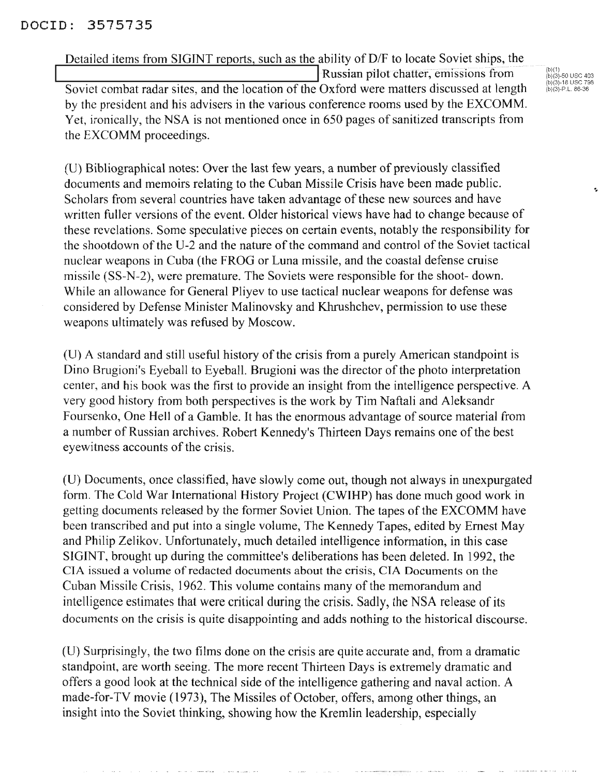Detailed items from SIGINT reports, such as the ability of D/F to locate Soviet ships, the<br>Russian pilot chatter, emissions from Soviet combat radar sites, and the location of the Oxford were matters discussed at length by the president and his advisers in the various conference rooms used by the EXCOMM. Yet, ironically, the NSA is not mentioned once in 650 pages of sanitized transcripts from the EXCOMM proceedings.

(b)(1) (b)(3)-50 usc 403 (b)(3)-18 usc 798 (b)(3)-P.L.86-36

(D) Bibliographical notes: Over the last few years, a number of previously classified documents and memoirs relating to the Cuban Missile Crisis have been made public. Scholars from several countries have taken advantage of these new sources and have written fuller versions of the event. Older historical views have had to change because of these revelations. Some speculative pieces on certain events, notably the responsibility for the shootdown of the U-2 and the nature of the command and control of the Soviet tactical nuclear weapons in Cuba (the FROG or Luna missile, and the coastal defense cruise missile (SS-N-2), were premature. The Soviets were responsible for the shoot- down. While an allowance for General Pliyev to use tactical nuclear weapons for defense was considered by Defense Minister Malinovsky and Khrushchev, permission to use these weapons ultimately was refused by Moscow.

(U) A standard and still useful history of the crisis from a purely American standpoint is Dino Brugioni's Eyeball to Eyeball. Brugioni was the director of the photo interpretation center, and his book was the first to provide an insight from the intelligence perspective. A very good history from both perspectives is the work by Tim Naftali and Aleksandr Foursenko, One Hell of a Gamble. It has the enormous advantage of source material from a number of Russian archives. Robert Kennedy's Thirteen Days remains one of the best eyewitness accounts of the crisis.

(U) Documents, once classified, have slowly come out, though not always in unexpurgated form. The Cold War International History Project (CWIHP) has done much good work in getting documents released by the former Soviet Union. The tapes of the EXCOMM have been transcribed and put into a single volume, The Kennedy Tapes, edited by Ernest May and Philip Zelikov. Unfortunately, much detailed intelligence information, in this case SIGINT, brought up during the committee's deliberations has been deleted. In 1992, the CIA issued a volume ofredacted documents about the crisis, CIA Documents on the Cuban Missile Crisis, 1962. This volume contains many of the memorandum and intelligence estimates that were critical during the crisis. Sadly, the NSA release of its documents on the crisis is quite disappointing and adds nothing to the historical discourse.

(U) Surprisingly, the two films done on the crisis are quite accurate and, from a dramatic standpoint, are worth seeing. The more recent Thirteen Days is extremely dramatic and offers a good look at the technical side of the intelligence gathering and naval action. A made-for-TV movie (1973), The Missiles of October, offers, among other things, an insight into the Soviet thinking, showing how the Kremlin leadership, especially